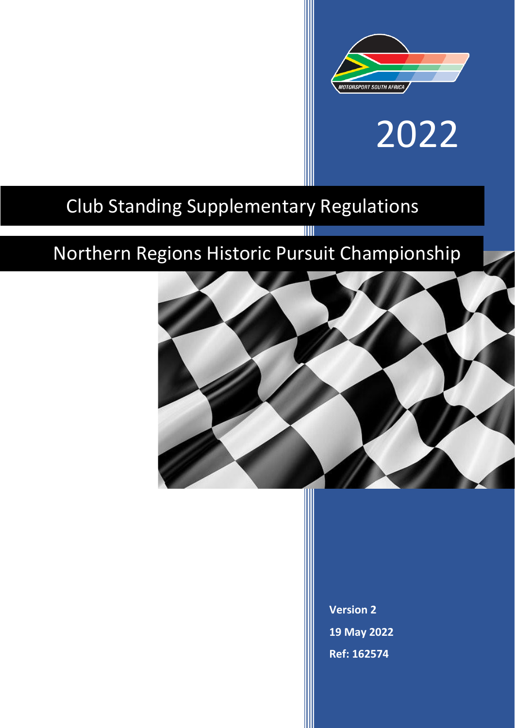

# 2022

# Club Standing Supplementary Regulations

# Northern Regions Historic Pursuit Championship

T



**Version 2 19 May 2022 Ref: 162574**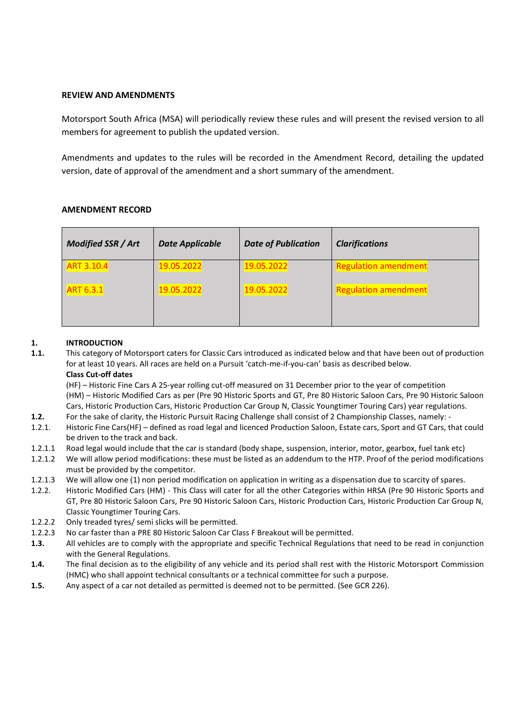# **REVIEW AND AMENDMENTS**

Motorsport South Africa (MSA) will periodically review these rules and will present the revised version to all members for agreement to publish the updated version.

Amendments and updates to the rules will be recorded in the Amendment Record, detailing the updated version, date of approval of the amendment and a short summary of the amendment.

| Modified SSR / Art | <b>Date Applicable</b> | <b>Date of Publication</b> | <b>Clarifications</b>       |
|--------------------|------------------------|----------------------------|-----------------------------|
| <b>ART 3.10.4</b>  | 19.05.2022             | 19.05.2022                 | <b>Regulation amendment</b> |
| <b>ART 6.3.1</b>   | 19.05.2022             | 19.05.2022                 | <b>Regulation amendment</b> |

# **AMENDMENT RECORD**

# **1. INTRODUCTION**

**1.1.** This category of Motorsport caters for Classic Cars introduced as indicated below and that have been out of production for at least 10 years. All races are held on a Pursuit 'catch-me-if-you-can' basis as described below. **Class Cut-off dates**

(HF) – Historic Fine Cars A 25-year rolling cut-off measured on 31 December prior to the year of competition (HM) – Historic Modified Cars as per (Pre 90 Historic Sports and GT, Pre 80 Historic Saloon Cars, Pre 90 Historic Saloon Cars, Historic Production Cars, Historic Production Car Group N, Classic Youngtimer Touring Cars) year regulations.

- **1.2.** For the sake of clarity, the Historic Pursuit Racing Challenge shall consist of 2 Championship Classes, namely: -
- 1.2.1. Historic Fine Cars(HF) defined as road legal and licenced Production Saloon, Estate cars, Sport and GT Cars, that could be driven to the track and back.
- 1.2.1.1 Road legal would include that the car is standard (body shape, suspension, interior, motor, gearbox, fuel tank etc)
- 1.2.1.2 We will allow period modifications: these must be listed as an addendum to the HTP. Proof of the period modifications must be provided by the competitor.
- 1.2.1.3 We will allow one (1) non period modification on application in writing as a dispensation due to scarcity of spares.
- 1.2.2. Historic Modified Cars (HM) This Class will cater for all the other Categories within HRSA (Pre 90 Historic Sports and GT, Pre 80 Historic Saloon Cars, Pre 90 Historic Saloon Cars, Historic Production Cars, Historic Production Car Group N, Classic Youngtimer Touring Cars.
- 1.2.2.2 Only treaded tyres/ semi slicks will be permitted.
- 1.2.2.3 No car faster than a PRE 80 Historic Saloon Car Class F Breakout will be permitted.
- **1.3.** All vehicles are to comply with the appropriate and specific Technical Regulations that need to be read in conjunction with the General Regulations.
- **1.4.** The final decision as to the eligibility of any vehicle and its period shall rest with the Historic Motorsport Commission (HMC) who shall appoint technical consultants or a technical committee for such a purpose.
- **1.5.** Any aspect of a car not detailed as permitted is deemed not to be permitted. (See GCR 226).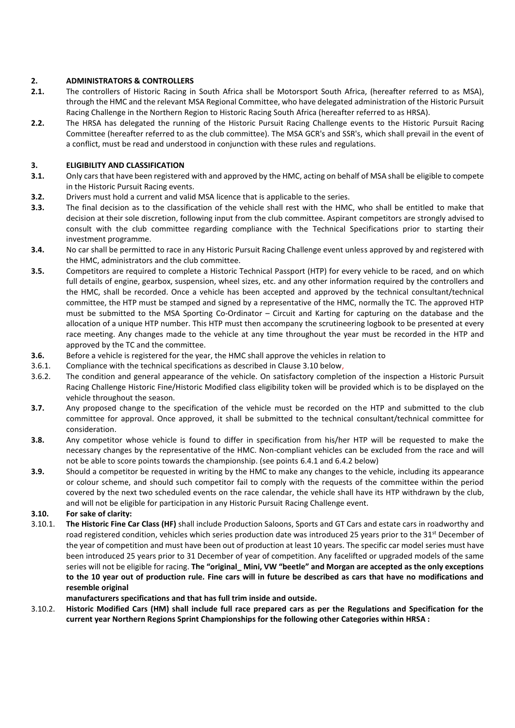# **2. ADMINISTRATORS & CONTROLLERS**

- **2.1.** The controllers of Historic Racing in South Africa shall be Motorsport South Africa, (hereafter referred to as MSA), through the HMC and the relevant MSA Regional Committee, who have delegated administration of the Historic Pursuit Racing Challenge in the Northern Region to Historic Racing South Africa (hereafter referred to as HRSA).
- **2.2.** The HRSA has delegated the running of the Historic Pursuit Racing Challenge events to the Historic Pursuit Racing Committee (hereafter referred to as the club committee). The MSA GCR's and SSR's, which shall prevail in the event of a conflict, must be read and understood in conjunction with these rules and regulations.

# **3. ELIGIBILITY AND CLASSIFICATION**

- **3.1.** Only cars that have been registered with and approved by the HMC, acting on behalf of MSA shall be eligible to compete in the Historic Pursuit Racing events.
- **3.2.** Drivers must hold a current and valid MSA licence that is applicable to the series.
- **3.3.** The final decision as to the classification of the vehicle shall rest with the HMC, who shall be entitled to make that decision at their sole discretion, following input from the club committee. Aspirant competitors are strongly advised to consult with the club committee regarding compliance with the Technical Specifications prior to starting their investment programme.
- **3.4.** No car shall be permitted to race in any Historic Pursuit Racing Challenge event unless approved by and registered with the HMC, administrators and the club committee.
- **3.5.** Competitors are required to complete a Historic Technical Passport (HTP) for every vehicle to be raced, and on which full details of engine, gearbox, suspension, wheel sizes, etc. and any other information required by the controllers and the HMC, shall be recorded. Once a vehicle has been accepted and approved by the technical consultant/technical committee, the HTP must be stamped and signed by a representative of the HMC, normally the TC. The approved HTP must be submitted to the MSA Sporting Co-Ordinator – Circuit and Karting for capturing on the database and the allocation of a unique HTP number. This HTP must then accompany the scrutineering logbook to be presented at every race meeting. Any changes made to the vehicle at any time throughout the year must be recorded in the HTP and approved by the TC and the committee.
- **3.6.** Before a vehicle is registered for the year, the HMC shall approve the vehicles in relation to
- 3.6.1. Compliance with the technical specifications as described in Clause 3.10 below,
- 3.6.2. The condition and general appearance of the vehicle. On satisfactory completion of the inspection a Historic Pursuit Racing Challenge Historic Fine/Historic Modified class eligibility token will be provided which is to be displayed on the vehicle throughout the season.
- **3.7.** Any proposed change to the specification of the vehicle must be recorded on the HTP and submitted to the club committee for approval. Once approved, it shall be submitted to the technical consultant/technical committee for consideration.
- **3.8.** Any competitor whose vehicle is found to differ in specification from his/her HTP will be requested to make the necessary changes by the representative of the HMC. Non-compliant vehicles can be excluded from the race and will not be able to score points towards the championship. (see points 6.4.1 and 6.4.2 below)
- **3.9.** Should a competitor be requested in writing by the HMC to make any changes to the vehicle, including its appearance or colour scheme, and should such competitor fail to comply with the requests of the committee within the period covered by the next two scheduled events on the race calendar, the vehicle shall have its HTP withdrawn by the club, and will not be eligible for participation in any Historic Pursuit Racing Challenge event.

#### **3.10. For sake of clarity:**

3.10.1. **The Historic Fine Car Class (HF)** shall include Production Saloons, Sports and GT Cars and estate cars in roadworthy and road registered condition, vehicles which series production date was introduced 25 years prior to the 31<sup>st</sup> December of the year of competition and must have been out of production at least 10 years. The specific car model series must have been introduced 25 years prior to 31 December of year of competition. Any facelifted or upgraded models of the same series will not be eligible for racing. **The "original\_ Mini, VW "beetle" and Morgan are accepted as the only exceptions to the 10 year out of production rule***.* **Fine cars will in future be described as cars that have no modifications and resemble original**

#### **manufacturers specifications and that has full trim inside and outside.**

3.10.2. **Historic Modified Cars (HM) shall include full race prepared cars as per the Regulations and Specification for the current year Northern Regions Sprint Championships for the following other Categories within HRSA :**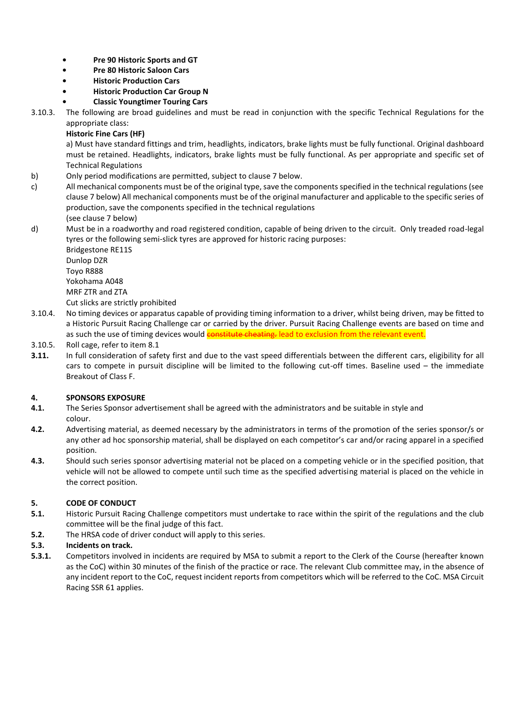- **• Pre 90 Historic Sports and GT**
- **• Pre 80 Historic Saloon Cars**
- **• Historic Production Cars**
- **• Historic Production Car Group N**
- **• Classic Youngtimer Touring Cars**

3.10.3. The following are broad guidelines and must be read in conjunction with the specific Technical Regulations for the appropriate class:

# **Historic Fine Cars (HF)**

a) Must have standard fittings and trim, headlights, indicators, brake lights must be fully functional. Original dashboard must be retained. Headlights, indicators, brake lights must be fully functional. As per appropriate and specific set of Technical Regulations

- b) Only period modifications are permitted, subject to clause 7 below.
- c) All mechanical components must be of the original type, save the components specified in the technical regulations (see clause 7 below) All mechanical components must be of the original manufacturer and applicable to the specific series of production, save the components specified in the technical regulations (see clause 7 below)
- d) Must be in a roadworthy and road registered condition, capable of being driven to the circuit. Only treaded road-legal tyres or the following semi-slick tyres are approved for historic racing purposes:

Bridgestone RE11S Dunlop DZR Toyo R888 Yokohama A048 MRF ZTR and ZTA

Cut slicks are strictly prohibited

- 3.10.4. No timing devices or apparatus capable of providing timing information to a driver, whilst being driven, may be fitted to a Historic Pursuit Racing Challenge car or carried by the driver. Pursuit Racing Challenge events are based on time and as such the use of timing devices would constitute cheating. lead to exclusion from the relevant event.
- 3.10.5. Roll cage, refer to item 8.1
- **3.11.** In full consideration of safety first and due to the vast speed differentials between the different cars, eligibility for all cars to compete in pursuit discipline will be limited to the following cut-off times. Baseline used – the immediate Breakout of Class F.

# **4. SPONSORS EXPOSURE**

- **4.1.** The Series Sponsor advertisement shall be agreed with the administrators and be suitable in style and colour.
- **4.2.** Advertising material, as deemed necessary by the administrators in terms of the promotion of the series sponsor/s or any other ad hoc sponsorship material, shall be displayed on each competitor's car and/or racing apparel in a specified position.
- **4.3.** Should such series sponsor advertising material not be placed on a competing vehicle or in the specified position, that vehicle will not be allowed to compete until such time as the specified advertising material is placed on the vehicle in the correct position.

#### **5. CODE OF CONDUCT**

- **5.1.** Historic Pursuit Racing Challenge competitors must undertake to race within the spirit of the regulations and the club committee will be the final judge of this fact.
- **5.2.** The HRSA code of driver conduct will apply to this series.

# **5.3. Incidents on track.**

**5.3.1.** Competitors involved in incidents are required by MSA to submit a report to the Clerk of the Course (hereafter known as the CoC) within 30 minutes of the finish of the practice or race. The relevant Club committee may, in the absence of any incident report to the CoC, request incident reports from competitors which will be referred to the CoC. MSA Circuit Racing SSR 61 applies.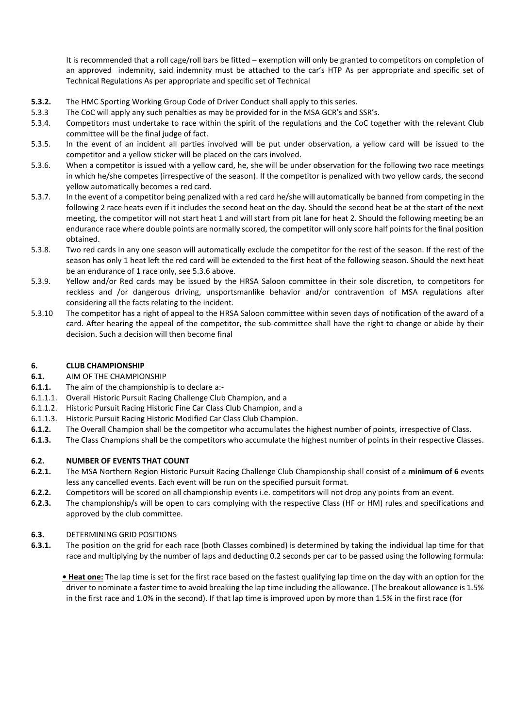It is recommended that a roll cage/roll bars be fitted – exemption will only be granted to competitors on completion of an approved indemnity, said indemnity must be attached to the car's HTP As per appropriate and specific set of Technical Regulations As per appropriate and specific set of Technical

- **5.3.2.** The HMC Sporting Working Group Code of Driver Conduct shall apply to this series.
- 5.3.3 The CoC will apply any such penalties as may be provided for in the MSA GCR's and SSR's.
- 5.3.4. Competitors must undertake to race within the spirit of the regulations and the CoC together with the relevant Club committee will be the final judge of fact.
- 5.3.5. In the event of an incident all parties involved will be put under observation, a yellow card will be issued to the competitor and a yellow sticker will be placed on the cars involved.
- 5.3.6. When a competitor is issued with a yellow card, he, she will be under observation for the following two race meetings in which he/she competes (irrespective of the season). If the competitor is penalized with two yellow cards, the second yellow automatically becomes a red card.
- 5.3.7. In the event of a competitor being penalized with a red card he/she will automatically be banned from competing in the following 2 race heats even if it includes the second heat on the day. Should the second heat be at the start of the next meeting, the competitor will not start heat 1 and will start from pit lane for heat 2. Should the following meeting be an endurance race where double points are normally scored, the competitor will only score half points for the final position obtained.
- 5.3.8. Two red cards in any one season will automatically exclude the competitor for the rest of the season. If the rest of the season has only 1 heat left the red card will be extended to the first heat of the following season. Should the next heat be an endurance of 1 race only, see 5.3.6 above.
- 5.3.9. Yellow and/or Red cards may be issued by the HRSA Saloon committee in their sole discretion, to competitors for reckless and /or dangerous driving, unsportsmanlike behavior and/or contravention of MSA regulations after considering all the facts relating to the incident.
- 5.3.10 The competitor has a right of appeal to the HRSA Saloon committee within seven days of notification of the award of a card. After hearing the appeal of the competitor, the sub-committee shall have the right to change or abide by their decision. Such a decision will then become final

# **6. CLUB CHAMPIONSHIP**

#### **6.1.** AIM OF THE CHAMPIONSHIP

- **6.1.1.** The aim of the championship is to declare a:-
- 6.1.1.1. Overall Historic Pursuit Racing Challenge Club Champion, and a
- 6.1.1.2. Historic Pursuit Racing Historic Fine Car Class Club Champion, and a
- 6.1.1.3. Historic Pursuit Racing Historic Modified Car Class Club Champion.
- **6.1.2.** The Overall Champion shall be the competitor who accumulates the highest number of points, irrespective of Class.
- **6.1.3.** The Class Champions shall be the competitors who accumulate the highest number of points in their respective Classes.

# **6.2. NUMBER OF EVENTS THAT COUNT**

- **6.2.1.** The MSA Northern Region Historic Pursuit Racing Challenge Club Championship shall consist of a **minimum of 6** events less any cancelled events. Each event will be run on the specified pursuit format.
- **6.2.2.** Competitors will be scored on all championship events i.e. competitors will not drop any points from an event.
- **6.2.3.** The championship/s will be open to cars complying with the respective Class (HF or HM) rules and specifications and approved by the club committee.

# **6.3.** DETERMINING GRID POSITIONS

**6.3.1.** The position on the grid for each race (both Classes combined) is determined by taking the individual lap time for that race and multiplying by the number of laps and deducting 0.2 seconds per car to be passed using the following formula:

**• Heat one:** The lap time is set for the first race based on the fastest qualifying lap time on the day with an option for the driver to nominate a faster time to avoid breaking the lap time including the allowance. (The breakout allowance is 1.5% in the first race and 1.0% in the second). If that lap time is improved upon by more than 1.5% in the first race (for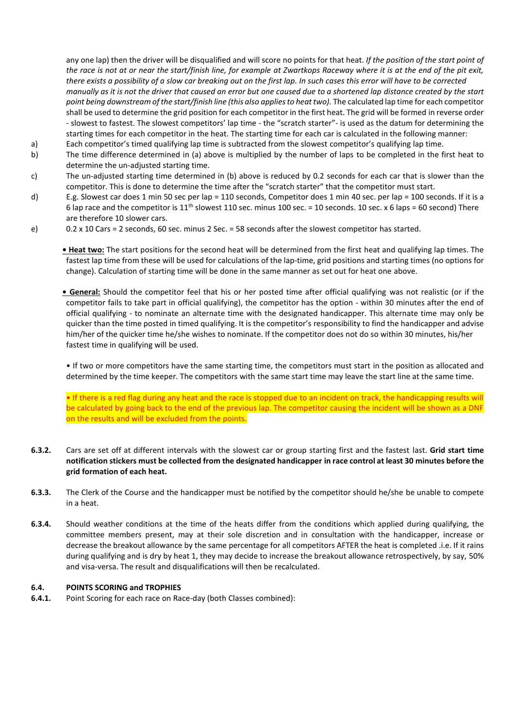any one lap) then the driver will be disqualified and will score no points for that heat. *If the position of the start point of the race is not at or near the start/finish line, for example at Zwartkops Raceway where it is at the end of the pit exit, there exists a possibility of a slow car breaking out on the first lap. In such cases this error will have to be corrected manually as it is not the driver that caused an error but one caused due to a shortened lap distance created by the start point being downstream of the start/finish line (this also applies to heat two).* The calculated lap time for each competitor shall be used to determine the grid position for each competitor in the first heat. The grid will be formed in reverse order - slowest to fastest. The slowest competitors' lap time - the "scratch starter"- is used as the datum for determining the starting times for each competitor in the heat. The starting time for each car is calculated in the following manner:

- a) Each competitor's timed qualifying lap time is subtracted from the slowest competitor's qualifying lap time.
- b) The time difference determined in (a) above is multiplied by the number of laps to be completed in the first heat to determine the un-adjusted starting time.
- c) The un-adjusted starting time determined in (b) above is reduced by 0.2 seconds for each car that is slower than the competitor. This is done to determine the time after the "scratch starter" that the competitor must start.
- d) E.g. Slowest car does 1 min 50 sec per lap = 110 seconds, Competitor does 1 min 40 sec. per lap = 100 seconds. If it is a 6 lap race and the competitor is  $11^{th}$  slowest 110 sec. minus 100 sec. = 10 seconds. 10 sec. x 6 laps = 60 second) There are therefore 10 slower cars.
- e) 0.2 x 10 Cars = 2 seconds, 60 sec. minus 2 Sec. = 58 seconds after the slowest competitor has started.

**• Heat two:** The start positions for the second heat will be determined from the first heat and qualifying lap times. The fastest lap time from these will be used for calculations of the lap-time, grid positions and starting times (no options for change). Calculation of starting time will be done in the same manner as set out for heat one above.

**• General:** Should the competitor feel that his or her posted time after official qualifying was not realistic (or if the competitor fails to take part in official qualifying), the competitor has the option - within 30 minutes after the end of official qualifying - to nominate an alternate time with the designated handicapper. This alternate time may only be quicker than the time posted in timed qualifying. It is the competitor's responsibility to find the handicapper and advise him/her of the quicker time he/she wishes to nominate. If the competitor does not do so within 30 minutes, his/her fastest time in qualifying will be used.

• If two or more competitors have the same starting time, the competitors must start in the position as allocated and determined by the time keeper. The competitors with the same start time may leave the start line at the same time.

• If there is a red flag during any heat and the race is stopped due to an incident on track, the handicapping results will be calculated by going back to the end of the previous lap. The competitor causing the incident will be shown as a DNF on the results and will be excluded from the points.

- **6.3.2.** Cars are set off at different intervals with the slowest car or group starting first and the fastest last. **Grid start time notification stickers must be collected from the designated handicapper in race control at least 30 minutes before the grid formation of each heat.**
- **6.3.3.** The Clerk of the Course and the handicapper must be notified by the competitor should he/she be unable to compete in a heat.
- **6.3.4.** Should weather conditions at the time of the heats differ from the conditions which applied during qualifying, the committee members present, may at their sole discretion and in consultation with the handicapper, increase or decrease the breakout allowance by the same percentage for all competitors AFTER the heat is completed .i.e. If it rains during qualifying and is dry by heat 1, they may decide to increase the breakout allowance retrospectively, by say, 50% and visa-versa. The result and disqualifications will then be recalculated.

#### **6.4. POINTS SCORING and TROPHIES**

**6.4.1.** Point Scoring for each race on Race-day (both Classes combined):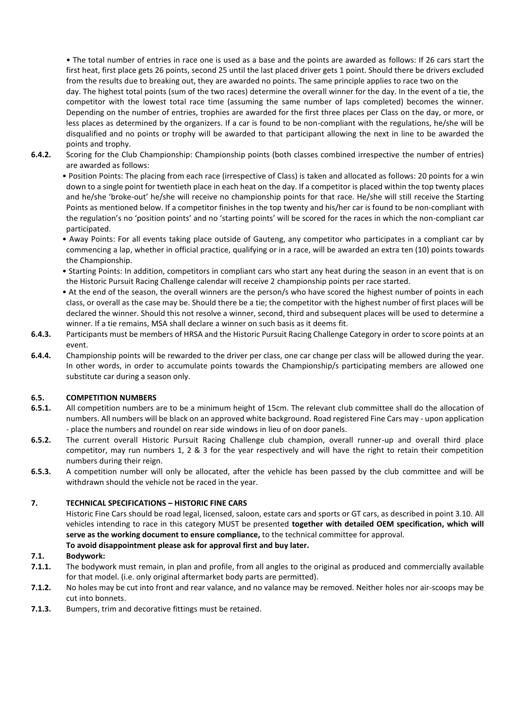• The total number of entries in race one is used as a base and the points are awarded as follows: If 26 cars start the first heat, first place gets 26 points, second 25 until the last placed driver gets 1 point. Should there be drivers excluded from the results due to breaking out, they are awarded no points. The same principle applies to race two on the day. The highest total points (sum of the two races) determine the overall winner for the day. In the event of a tie, the competitor with the lowest total race time (assuming the same number of laps completed) becomes the winner. Depending on the number of entries, trophies are awarded for the first three places per Class on the day, or more, or less places as determined by the organizers. If a car is found to be non-compliant with the regulations, he/she will be disqualified and no points or trophy will be awarded to that participant allowing the next in line to be awarded the points and trophy.

**6.4.2.** Scoring for the Club Championship: Championship points (both classes combined irrespective the number of entries) are awarded as follows:

• Position Points: The placing from each race (irrespective of Class) is taken and allocated as follows: 20 points for a win down to a single point for twentieth place in each heat on the day. If a competitor is placed within the top twenty places and he/she 'broke-out' he/she will receive no championship points for that race. He/she will still receive the Starting Points as mentioned below. If a competitor finishes in the top twenty and his/her car is found to be non-compliant with the regulation's no 'position points' and no 'starting points' will be scored for the races in which the non-compliant car participated.

- Away Points: For all events taking place outside of Gauteng, any competitor who participates in a compliant car by commencing a lap, whether in official practice, qualifying or in a race, will be awarded an extra ten (10) points towards the Championship.
- Starting Points: In addition, competitors in compliant cars who start any heat during the season in an event that is on the Historic Pursuit Racing Challenge calendar will receive 2 championship points per race started.
- At the end of the season, the overall winners are the person/s who have scored the highest number of points in each class, or overall as the case may be. Should there be a tie; the competitor with the highest number of first places will be declared the winner. Should this not resolve a winner, second, third and subsequent places will be used to determine a winner. If a tie remains, MSA shall declare a winner on such basis as it deems fit.
- **6.4.3.** Participants must be members of HRSA and the Historic Pursuit Racing Challenge Category in order to score points at an event.
- **6.4.4.** Championship points will be rewarded to the driver per class, one car change per class will be allowed during the year. In other words, in order to accumulate points towards the Championship/s participating members are allowed one substitute car during a season only.

#### **6.5. COMPETITION NUMBERS**

- **6.5.1.** All competition numbers are to be a minimum height of 15cm. The relevant club committee shall do the allocation of numbers. All numbers will be black on an approved white background. Road registered Fine Cars may - upon application - place the numbers and roundel on rear side windows in lieu of on door panels.
- **6.5.2.** The current overall Historic Pursuit Racing Challenge club champion, overall runner-up and overall third place competitor, may run numbers 1, 2 & 3 for the year respectively and will have the right to retain their competition numbers during their reign.
- **6.5.3.** A competition number will only be allocated, after the vehicle has been passed by the club committee and will be withdrawn should the vehicle not be raced in the year.

#### **7. TECHNICAL SPECIFICATIONS – HISTORIC FINE CARS**

Historic Fine Cars should be road legal, licensed, saloon, estate cars and sports or GT cars, as described in point 3.10. All vehicles intending to race in this category MUST be presented **together with detailed OEM specification, which will serve as the working document to ensure compliance,** to the technical committee for approval.

# **To avoid disappointment please ask for approval first and buy later.**

#### **7.1. Bodywork:**

- **7.1.1.** The bodywork must remain, in plan and profile, from all angles to the original as produced and commercially available for that model. (i.e. only original aftermarket body parts are permitted).
- **7.1.2.** No holes may be cut into front and rear valance, and no valance may be removed. Neither holes nor air-scoops may be cut into bonnets.
- **7.1.3.** Bumpers, trim and decorative fittings must be retained.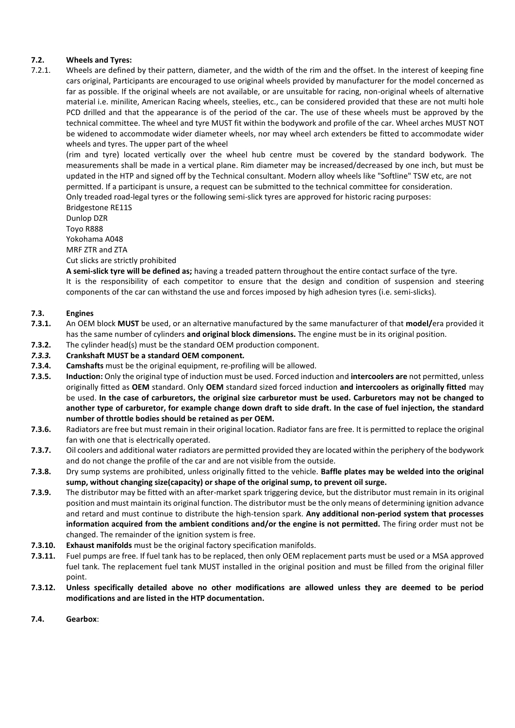# **7.2. Wheels and Tyres:**

7.2.1. Wheels are defined by their pattern, diameter, and the width of the rim and the offset. In the interest of keeping fine cars original, Participants are encouraged to use original wheels provided by manufacturer for the model concerned as far as possible. If the original wheels are not available, or are unsuitable for racing, non-original wheels of alternative material i.e. minilite, American Racing wheels, steelies, etc., can be considered provided that these are not multi hole PCD drilled and that the appearance is of the period of the car. The use of these wheels must be approved by the technical committee. The wheel and tyre MUST fit within the bodywork and profile of the car. Wheel arches MUST NOT be widened to accommodate wider diameter wheels, nor may wheel arch extenders be fitted to accommodate wider wheels and tyres. The upper part of the wheel

(rim and tyre) located vertically over the wheel hub centre must be covered by the standard bodywork. The measurements shall be made in a vertical plane. Rim diameter may be increased/decreased by one inch, but must be updated in the HTP and signed off by the Technical consultant. Modern alloy wheels like "Softline" TSW etc, are not permitted. If a participant is unsure, a request can be submitted to the technical committee for consideration. Only treaded road-legal tyres or the following semi-slick tyres are approved for historic racing purposes:

Bridgestone RE11S Dunlop DZR Toyo R888 Yokohama A048 MRF ZTR and ZTA

Cut slicks are strictly prohibited

**A semi-slick tyre will be defined as;** having a treaded pattern throughout the entire contact surface of the tyre. It is the responsibility of each competitor to ensure that the design and condition of suspension and steering components of the car can withstand the use and forces imposed by high adhesion tyres (i.e. semi-slicks).

#### **7.3. Engines**

- **7.3.1.** An OEM block **MUST** be used, or an alternative manufactured by the same manufacturer of that **model/**era provided it has the same number of cylinders **and original block dimensions.** The engine must be in its original position.
- **7.3.2.** The cylinder head(s) must be the standard OEM production component.
- *7.3.3.* **Crankshaft MUST be a standard OEM component***.*
- **7.3.4. Camshafts** must be the original equipment, re-profiling will be allowed.
- **7.3.5. Induction:** Only the original type of induction must be used. Forced induction and **intercoolers are** not permitted, unless originally fitted as **OEM** standard. Only **OEM** standard sized forced induction **and intercoolers as originally fitted** may be used. **In the case of carburetors, the original size carburetor must be used. Carburetors may not be changed to another type of carburetor, for example change down draft to side draft. In the case of fuel injection, the standard number of throttle bodies should be retained as per OEM.**
- **7.3.6.** Radiators are free but must remain in their original location. Radiator fans are free. It is permitted to replace the original fan with one that is electrically operated.
- **7.3.7.** Oil coolers and additional water radiators are permitted provided they are located within the periphery of the bodywork and do not change the profile of the car and are not visible from the outside.
- **7.3.8.** Dry sump systems are prohibited, unless originally fitted to the vehicle. **Baffle plates may be welded into the original sump, without changing size(capacity) or shape of the original sump, to prevent oil surge.**
- **7.3.9.** The distributor may be fitted with an after-market spark triggering device, but the distributor must remain in its original position and must maintain its original function. The distributor must be the only means of determining ignition advance and retard and must continue to distribute the high-tension spark. **Any additional non-period system that processes information acquired from the ambient conditions and/or the engine is not permitted.** The firing order must not be changed. The remainder of the ignition system is free.
- **7.3.10. Exhaust manifolds** must be the original factory specification manifolds.
- **7.3.11.** Fuel pumps are free. If fuel tank has to be replaced, then only OEM replacement parts must be used or a MSA approved fuel tank. The replacement fuel tank MUST installed in the original position and must be filled from the original filler point.
- **7.3.12. Unless specifically detailed above no other modifications are allowed unless they are deemed to be period modifications and are listed in the HTP documentation.**
- **7.4. Gearbox**: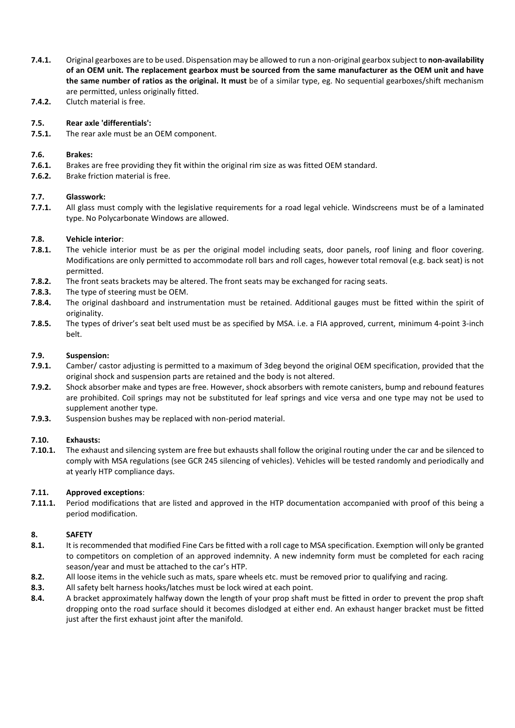- **7.4.1.** Original gearboxes are to be used. Dispensation may be allowed to run a non-original gearbox subject to **non-availability of an OEM unit. The replacement gearbox must be sourced from the same manufacturer as the OEM unit and have the same number of ratios as the original. It must** be of a similar type, eg. No sequential gearboxes/shift mechanism are permitted, unless originally fitted.
- **7.4.2.** Clutch material is free.

# **7.5. Rear axle 'differentials':**

**7.5.1.** The rear axle must be an OEM component.

#### **7.6. Brakes:**

- **7.6.1.** Brakes are free providing they fit within the original rim size as was fitted OEM standard.
- **7.6.2.** Brake friction material is free.

#### **7.7. Glasswork:**

**7.7.1.** All glass must comply with the legislative requirements for a road legal vehicle. Windscreens must be of a laminated type. No Polycarbonate Windows are allowed.

#### **7.8. Vehicle interior**:

- **7.8.1.** The vehicle interior must be as per the original model including seats, door panels, roof lining and floor covering. Modifications are only permitted to accommodate roll bars and roll cages, however total removal (e.g. back seat) is not permitted.
- **7.8.2.** The front seats brackets may be altered. The front seats may be exchanged for racing seats.
- **7.8.3.** The type of steering must be OEM.
- **7.8.4.** The original dashboard and instrumentation must be retained. Additional gauges must be fitted within the spirit of originality.
- **7.8.5.** The types of driver's seat belt used must be as specified by MSA. i.e. a FIA approved, current, minimum 4-point 3-inch belt.

#### **7.9. Suspension:**

- **7.9.1.** Camber/ castor adjusting is permitted to a maximum of 3deg beyond the original OEM specification, provided that the original shock and suspension parts are retained and the body is not altered.
- **7.9.2.** Shock absorber make and types are free. However, shock absorbers with remote canisters, bump and rebound features are prohibited. Coil springs may not be substituted for leaf springs and vice versa and one type may not be used to supplement another type.
- **7.9.3.** Suspension bushes may be replaced with non-period material.

#### **7.10. Exhausts:**

**7.10.1.** The exhaust and silencing system are free but exhausts shall follow the original routing under the car and be silenced to comply with MSA regulations (see GCR 245 silencing of vehicles). Vehicles will be tested randomly and periodically and at yearly HTP compliance days.

#### **7.11. Approved exceptions**:

**7.11.1.** Period modifications that are listed and approved in the HTP documentation accompanied with proof of this being a period modification.

#### **8. SAFETY**

- **8.1.** It is recommended that modified Fine Cars be fitted with a roll cage to MSA specification. Exemption will only be granted to competitors on completion of an approved indemnity. A new indemnity form must be completed for each racing season/year and must be attached to the car's HTP.
- **8.2.** All loose items in the vehicle such as mats, spare wheels etc. must be removed prior to qualifying and racing.
- **8.3.** All safety belt harness hooks/latches must be lock wired at each point.
- **8.4.** A bracket approximately halfway down the length of your prop shaft must be fitted in order to prevent the prop shaft dropping onto the road surface should it becomes dislodged at either end. An exhaust hanger bracket must be fitted just after the first exhaust joint after the manifold.